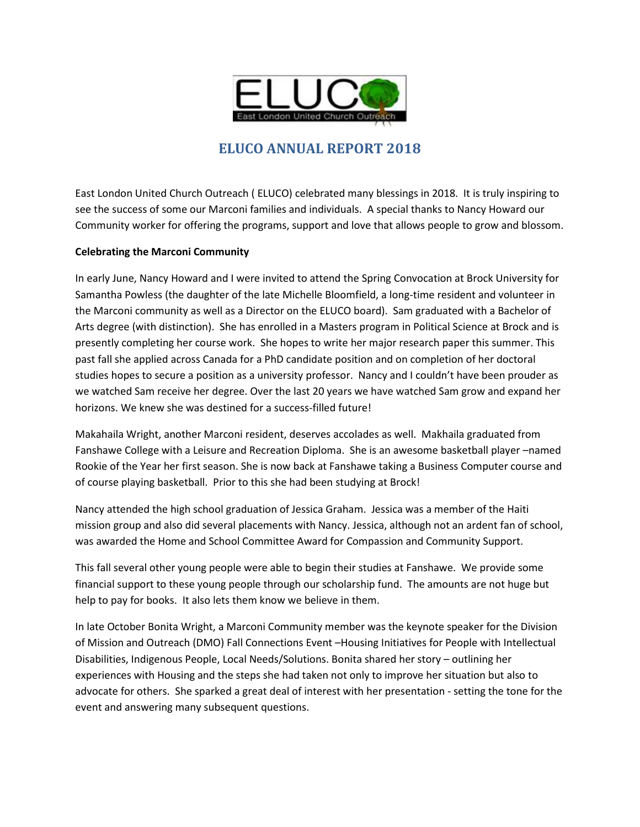

# **ELUCO ANNUAL REPORT 2018**

East London United Church Outreach ( ELUCO) celebrated many blessings in 2018. It is truly inspiring to see the success of some our Marconi families and individuals. A special thanks to Nancy Howard our Community worker for offering the programs, support and love that allows people to grow and blossom.

#### **Celebrating the Marconi Community**

In early June, Nancy Howard and I were invited to attend the Spring Convocation at Brock University for Samantha Powless (the daughter of the late Michelle Bloomfield, a long-time resident and volunteer in the Marconi community as well as a Director on the ELUCO board). Sam graduated with a Bachelor of Arts degree (with distinction). She has enrolled in a Masters program in Political Science at Brock and is presently completing her course work. She hopes to write her major research paper this summer. This past fall she applied across Canada for a PhD candidate position and on completion of her doctoral studies hopes to secure a position as a university professor. Nancy and I couldn't have been prouder as we watched Sam receive her degree. Over the last 20 years we have watched Sam grow and expand her horizons. We knew she was destined for a success-filled future!

Makahaila Wright, another Marconi resident, deserves accolades as well. Makhaila graduated from Fanshawe College with a Leisure and Recreation Diploma. She is an awesome basketball player –named Rookie of the Year her first season. She is now back at Fanshawe taking a Business Computer course and of course playing basketball. Prior to this she had been studying at Brock!

Nancy attended the high school graduation of Jessica Graham. Jessica was a member of the Haiti mission group and also did several placements with Nancy. Jessica, although not an ardent fan of school, was awarded the Home and School Committee Award for Compassion and Community Support.

This fall several other young people were able to begin their studies at Fanshawe. We provide some financial support to these young people through our scholarship fund. The amounts are not huge but help to pay for books. It also lets them know we believe in them.

In late October Bonita Wright, a Marconi Community member was the keynote speaker for the Division of Mission and Outreach (DMO) Fall Connections Event –Housing Initiatives for People with Intellectual Disabilities, Indigenous People, Local Needs/Solutions. Bonita shared her story – outlining her experiences with Housing and the steps she had taken not only to improve her situation but also to advocate for others. She sparked a great deal of interest with her presentation - setting the tone for the event and answering many subsequent questions.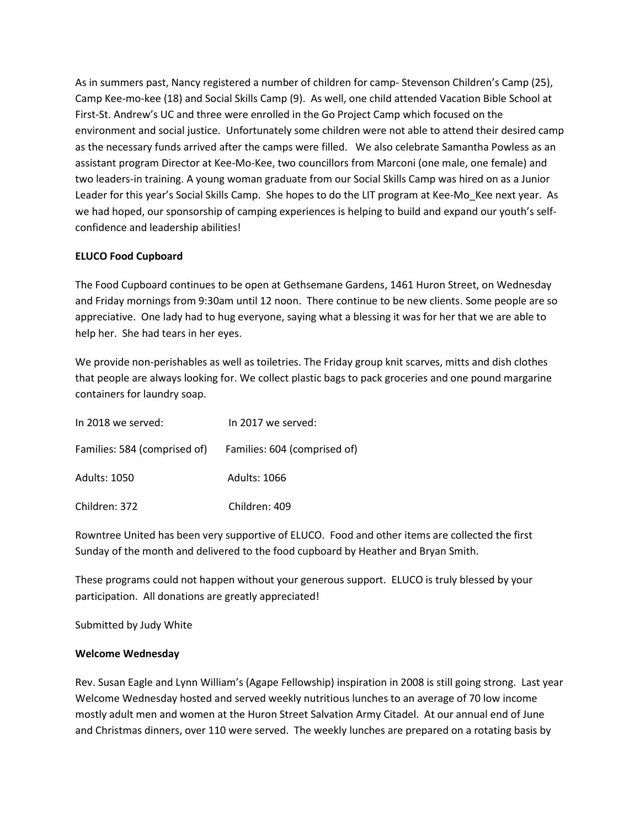As in summers past, Nancy registered a number of children for camp- Stevenson Children's Camp (25), Camp Kee-mo-kee (18) and Social Skills Camp (9). As well, one child attended Vacation Bible School at First-St. Andrew's UC and three were enrolled in the Go Project Camp which focused on the environment and social justice. Unfortunately some children were not able to attend their desired camp as the necessary funds arrived after the camps were filled. We also celebrate Samantha Powless as an assistant program Director at Kee-Mo-Kee, two councillors from Marconi (one male, one female) and two leaders-in training. A young woman graduate from our Social Skills Camp was hired on as a Junior Leader for this year's Social Skills Camp. She hopes to do the LIT program at Kee-Mo\_Kee next year. As we had hoped, our sponsorship of camping experiences is helping to build and expand our youth's selfconfidence and leadership abilities!

## **ELUCO Food Cupboard**

The Food Cupboard continues to be open at Gethsemane Gardens, 1461 Huron Street, on Wednesday and Friday mornings from 9:30am until 12 noon. There continue to be new clients. Some people are so appreciative. One lady had to hug everyone, saying what a blessing it was for her that we are able to help her. She had tears in her eyes.

We provide non-perishables as well as toiletries. The Friday group knit scarves, mitts and dish clothes that people are always looking for. We collect plastic bags to pack groceries and one pound margarine containers for laundry soap.

| In 2018 we served:                                        | In 2017 we served: |
|-----------------------------------------------------------|--------------------|
| Families: 584 (comprised of) Families: 604 (comprised of) |                    |
| Adults: 1050                                              | Adults: 1066       |
| Children: 372                                             | Children: 409      |

Rowntree United has been very supportive of ELUCO. Food and other items are collected the first Sunday of the month and delivered to the food cupboard by Heather and Bryan Smith.

These programs could not happen without your generous support. ELUCO is truly blessed by your participation. All donations are greatly appreciated!

Submitted by Judy White

#### **Welcome Wednesday**

Rev. Susan Eagle and Lynn William's (Agape Fellowship) inspiration in 2008 is still going strong. Last year Welcome Wednesday hosted and served weekly nutritious lunches to an average of 70 low income mostly adult men and women at the Huron Street Salvation Army Citadel. At our annual end of June and Christmas dinners, over 110 were served. The weekly lunches are prepared on a rotating basis by